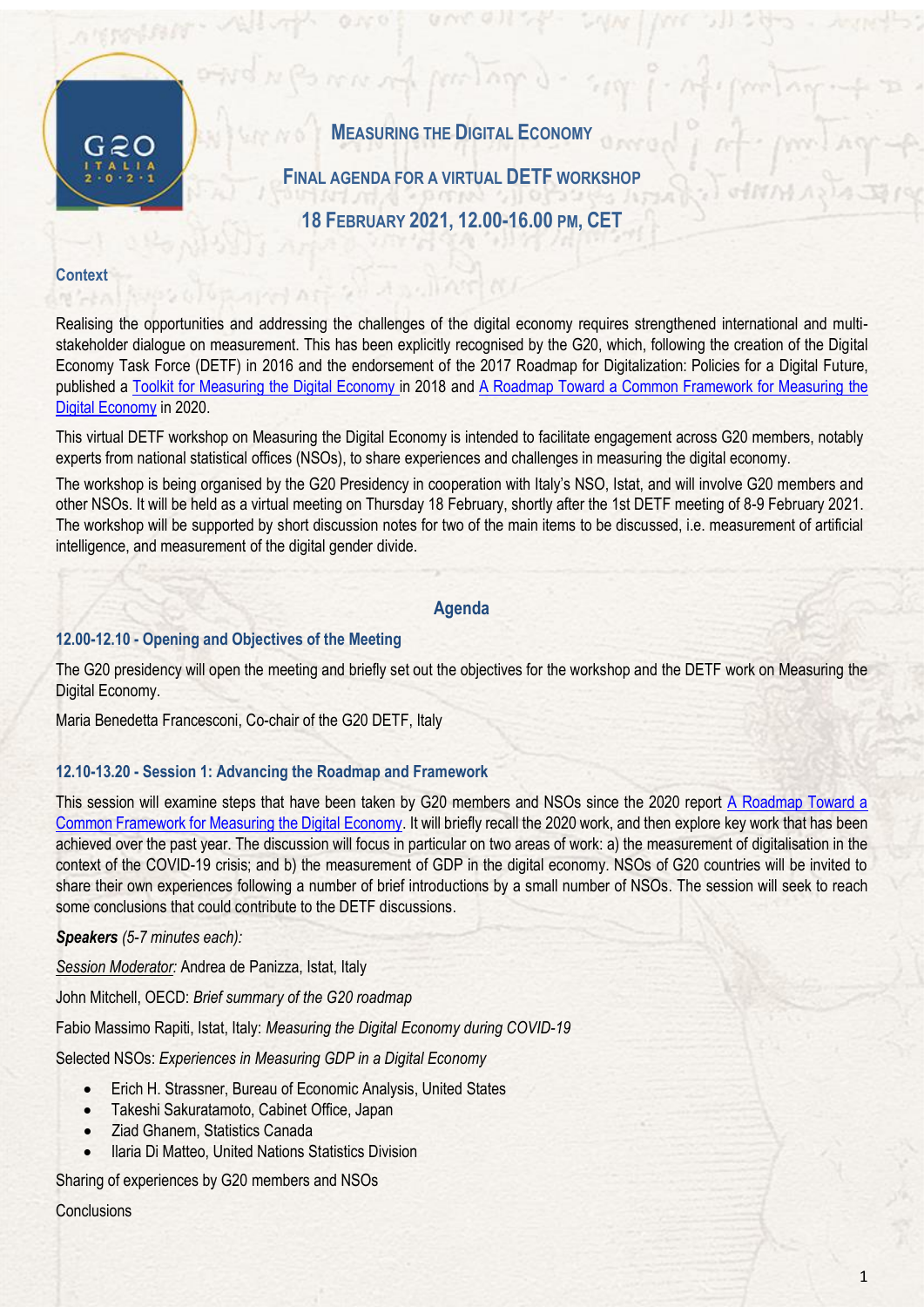

**MEASURING THE DIGITAL ECONOMY** 

**FINAL AGENDA FOR A VIRTUAL DETF WORKSHOP**

**18 FEBRUARY 2021, 12.00-16.00 PM, CET**

# **Context**

Realising the opportunities and addressing the challenges of the digital economy requires strengthened international and multistakeholder dialogue on measurement. This has been explicitly recognised by the G20, which, following the creation of the Digital Economy Task Force (DETF) in 2016 and the endorsement of the 2017 Roadmap for Digitalization: Policies for a Digital Future, published a [Toolkit for Measuring the Digital Economy](http://www.oecd.org/g20/summits/buenos-aires/G20-Toolkit-for-measuring-digital-economy.pdf) in 2018 and [A Roadmap Toward a Common Framework for Measuring the](http://www.oecd.org/sti/roadmap-toward-a-common-framework-for-measuring-the-digital-economy.pdf)  [Digital Economy](http://www.oecd.org/sti/roadmap-toward-a-common-framework-for-measuring-the-digital-economy.pdf) in 2020.

This virtual DETF workshop on Measuring the Digital Economy is intended to facilitate engagement across G20 members, notably experts from national statistical offices (NSOs), to share experiences and challenges in measuring the digital economy.

The workshop is being organised by the G20 Presidency in cooperation with Italy's NSO, Istat, and will involve G20 members and other NSOs. It will be held as a virtual meeting on Thursday 18 February, shortly after the 1st DETF meeting of 8-9 February 2021. The workshop will be supported by short discussion notes for two of the main items to be discussed, i.e. measurement of artificial intelligence, and measurement of the digital gender divide.

### **Agenda**

# **12.00-12.10 - Opening and Objectives of the Meeting**

The G20 presidency will open the meeting and briefly set out the objectives for the workshop and the DETF work on Measuring the Digital Economy.

Maria Benedetta Francesconi, Co-chair of the G20 DETF, Italy

# **12.10-13.20 - Session 1: Advancing the Roadmap and Framework**

This session will examine steps that have been taken by G20 members and NSOs since the 2020 report [A Roadmap Toward a](http://www.oecd.org/sti/roadmap-toward-a-common-framework-for-measuring-the-digital-economy.pdf)  [Common Framework for Measuring the Digital Economy.](http://www.oecd.org/sti/roadmap-toward-a-common-framework-for-measuring-the-digital-economy.pdf) It will briefly recall the 2020 work, and then explore key work that has been achieved over the past year. The discussion will focus in particular on two areas of work: a) the measurement of digitalisation in the context of the COVID-19 crisis; and b) the measurement of GDP in the digital economy. NSOs of G20 countries will be invited to share their own experiences following a number of brief introductions by a small number of NSOs. The session will seek to reach some conclusions that could contribute to the DETF discussions.

# *Speakers (5-7 minutes each):*

*Session Moderator:* Andrea de Panizza, Istat, Italy

John Mitchell, OECD: *Brief summary of the G20 roadmap*

Fabio Massimo Rapiti, Istat, Italy: *Measuring the Digital Economy during COVID-19*

Selected NSOs: *Experiences in Measuring GDP in a Digital Economy*

- Erich H. Strassner, Bureau of Economic Analysis, United States
- Takeshi Sakuratamoto, Cabinet Office, Japan
- Ziad Ghanem, Statistics Canada
- Ilaria Di Matteo, United Nations Statistics Division

Sharing of experiences by G20 members and NSOs

**Conclusions**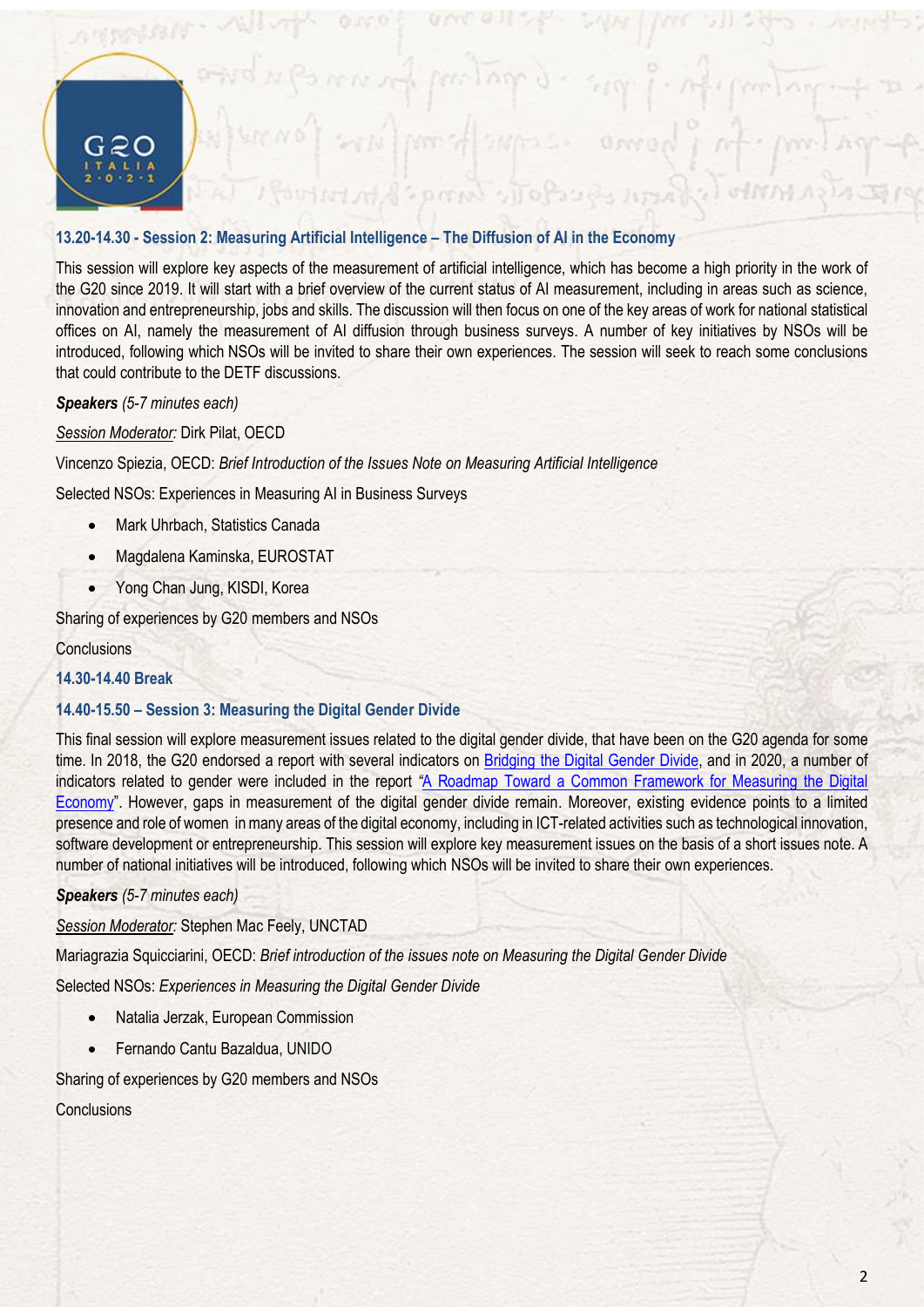

# **13.20-14.30 - Session 2: Measuring Artificial Intelligence – The Diffusion of AI in the Economy**

This session will explore key aspects of the measurement of artificial intelligence, which has become a high priority in the work of the G20 since 2019. It will start with a brief overview of the current status of AI measurement, including in areas such as science, innovation and entrepreneurship, jobs and skills. The discussion will then focus on one of the key areas of work for national statistical offices on AI, namely the measurement of AI diffusion through business surveys. A number of key initiatives by NSOs will be introduced, following which NSOs will be invited to share their own experiences. The session will seek to reach some conclusions that could contribute to the DETF discussions.

*Speakers (5-7 minutes each)*

*Session Moderator:* Dirk Pilat, OECD

Vincenzo Spiezia, OECD: *Brief Introduction of the Issues Note on Measuring Artificial Intelligence*

Selected NSOs: Experiences in Measuring AI in Business Surveys

- Mark Uhrbach, Statistics Canada
- Magdalena Kaminska, EUROSTAT
- Yong Chan Jung, KISDI, Korea

Sharing of experiences by G20 members and NSOs

### **Conclusions**

**14.30-14.40 Break**

# **14.40-15.50 – Session 3: Measuring the Digital Gender Divide**

This final session will explore measurement issues related to the digital gender divide, that have been on the G20 agenda for some time. In 2018, the G20 endorsed a report with several indicators on [Bridging the Digital Gender Divide,](http://www.oecd.org/digital/bridging-the-digital-gender-divide.pdf) and in 2020, a number of indicators related to gender were included in the report *"*[A Roadmap Toward a Common Framework for Measuring the Digital](http://www.oecd.org/sti/roadmap-toward-a-common-framework-for-measuring-the-digital-economy.pdf)  [Economy](http://www.oecd.org/sti/roadmap-toward-a-common-framework-for-measuring-the-digital-economy.pdf)". However, gaps in measurement of the digital gender divide remain. Moreover, existing evidence points to a limited presence and role of women in many areas of the digital economy, including in ICT-related activities such as technological innovation, software development or entrepreneurship. This session will explore key measurement issues on the basis of a short issues note. A number of national initiatives will be introduced, following which NSOs will be invited to share their own experiences.

*Speakers (5-7 minutes each)*

*Session Moderator:* Stephen Mac Feely, UNCTAD

Mariagrazia Squicciarini, OECD: *Brief introduction of the issues note on Measuring the Digital Gender Divide*

Selected NSOs: *Experiences in Measuring the Digital Gender Divide*

- Natalia Jerzak, European Commission
- Fernando Cantu Bazaldua, UNIDO

Sharing of experiences by G20 members and NSOs

**Conclusions**